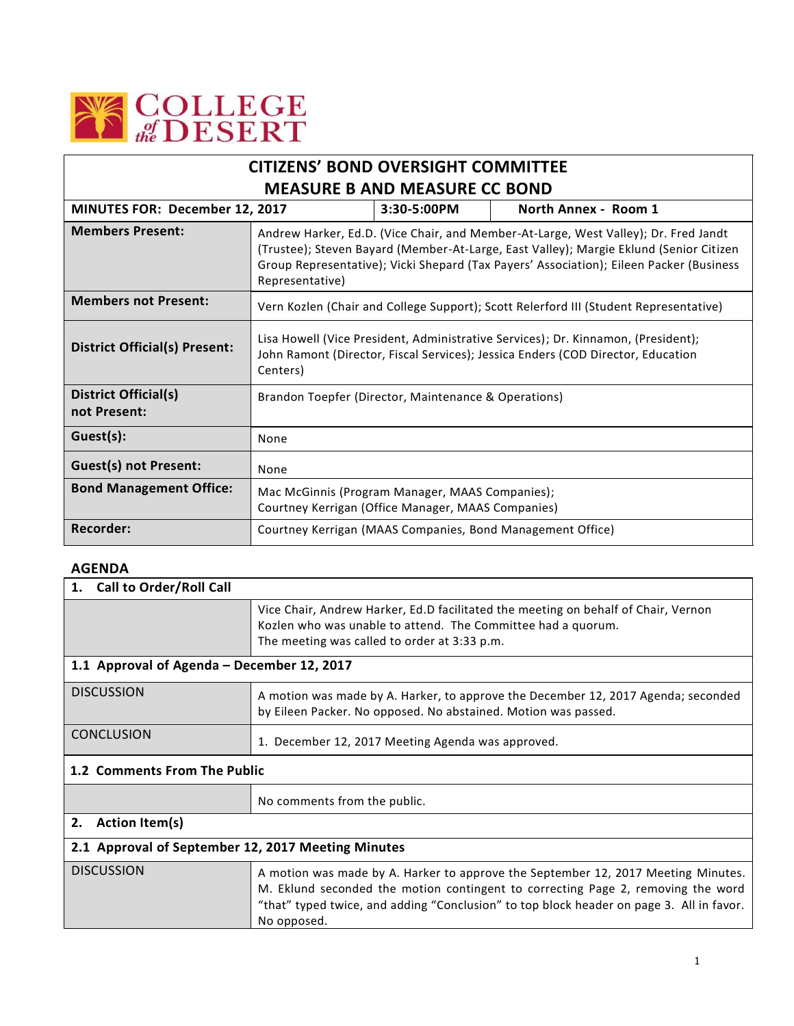

| <b>CITIZENS' BOND OVERSIGHT COMMITTEE</b>     |                                                                                                                                                                                                                                                                                             |                      |                                                            |  |
|-----------------------------------------------|---------------------------------------------------------------------------------------------------------------------------------------------------------------------------------------------------------------------------------------------------------------------------------------------|----------------------|------------------------------------------------------------|--|
| <b>MEASURE B AND MEASURE CC BOND</b>          |                                                                                                                                                                                                                                                                                             |                      |                                                            |  |
| MINUTES FOR: December 12, 2017<br>3:30-5:00PM |                                                                                                                                                                                                                                                                                             | North Annex - Room 1 |                                                            |  |
| <b>Members Present:</b>                       | Andrew Harker, Ed.D. (Vice Chair, and Member-At-Large, West Valley); Dr. Fred Jandt<br>(Trustee); Steven Bayard (Member-At-Large, East Valley); Margie Eklund (Senior Citizen<br>Group Representative); Vicki Shepard (Tax Payers' Association); Eileen Packer (Business<br>Representative) |                      |                                                            |  |
| <b>Members not Present:</b>                   | Vern Kozlen (Chair and College Support); Scott Relerford III (Student Representative)                                                                                                                                                                                                       |                      |                                                            |  |
| <b>District Official(s) Present:</b>          | Lisa Howell (Vice President, Administrative Services); Dr. Kinnamon, (President);<br>John Ramont (Director, Fiscal Services); Jessica Enders (COD Director, Education<br>Centers)                                                                                                           |                      |                                                            |  |
| <b>District Official(s)</b><br>not Present:   | Brandon Toepfer (Director, Maintenance & Operations)                                                                                                                                                                                                                                        |                      |                                                            |  |
| Guest(s):                                     | None                                                                                                                                                                                                                                                                                        |                      |                                                            |  |
| <b>Guest(s) not Present:</b>                  | None                                                                                                                                                                                                                                                                                        |                      |                                                            |  |
| <b>Bond Management Office:</b>                | Mac McGinnis (Program Manager, MAAS Companies);<br>Courtney Kerrigan (Office Manager, MAAS Companies)                                                                                                                                                                                       |                      |                                                            |  |
| <b>Recorder:</b>                              |                                                                                                                                                                                                                                                                                             |                      | Courtney Kerrigan (MAAS Companies, Bond Management Office) |  |

## **AGENDA**

| <b>Call to Order/Roll Call</b><br>1.               |                                                                                                                                                                                                                                                                                  |  |  |
|----------------------------------------------------|----------------------------------------------------------------------------------------------------------------------------------------------------------------------------------------------------------------------------------------------------------------------------------|--|--|
|                                                    | Vice Chair, Andrew Harker, Ed.D facilitated the meeting on behalf of Chair, Vernon<br>Kozlen who was unable to attend. The Committee had a quorum.<br>The meeting was called to order at 3:33 p.m.                                                                               |  |  |
| 1.1 Approval of Agenda - December 12, 2017         |                                                                                                                                                                                                                                                                                  |  |  |
| <b>DISCUSSION</b>                                  | A motion was made by A. Harker, to approve the December 12, 2017 Agenda; seconded<br>by Eileen Packer. No opposed. No abstained. Motion was passed.                                                                                                                              |  |  |
| <b>CONCLUSION</b>                                  | 1. December 12, 2017 Meeting Agenda was approved.                                                                                                                                                                                                                                |  |  |
| 1.2 Comments From The Public                       |                                                                                                                                                                                                                                                                                  |  |  |
|                                                    | No comments from the public.                                                                                                                                                                                                                                                     |  |  |
| 2.<br><b>Action Item(s)</b>                        |                                                                                                                                                                                                                                                                                  |  |  |
| 2.1 Approval of September 12, 2017 Meeting Minutes |                                                                                                                                                                                                                                                                                  |  |  |
| <b>DISCUSSION</b>                                  | A motion was made by A. Harker to approve the September 12, 2017 Meeting Minutes.<br>M. Eklund seconded the motion contingent to correcting Page 2, removing the word<br>"that" typed twice, and adding "Conclusion" to top block header on page 3. All in favor.<br>No opposed. |  |  |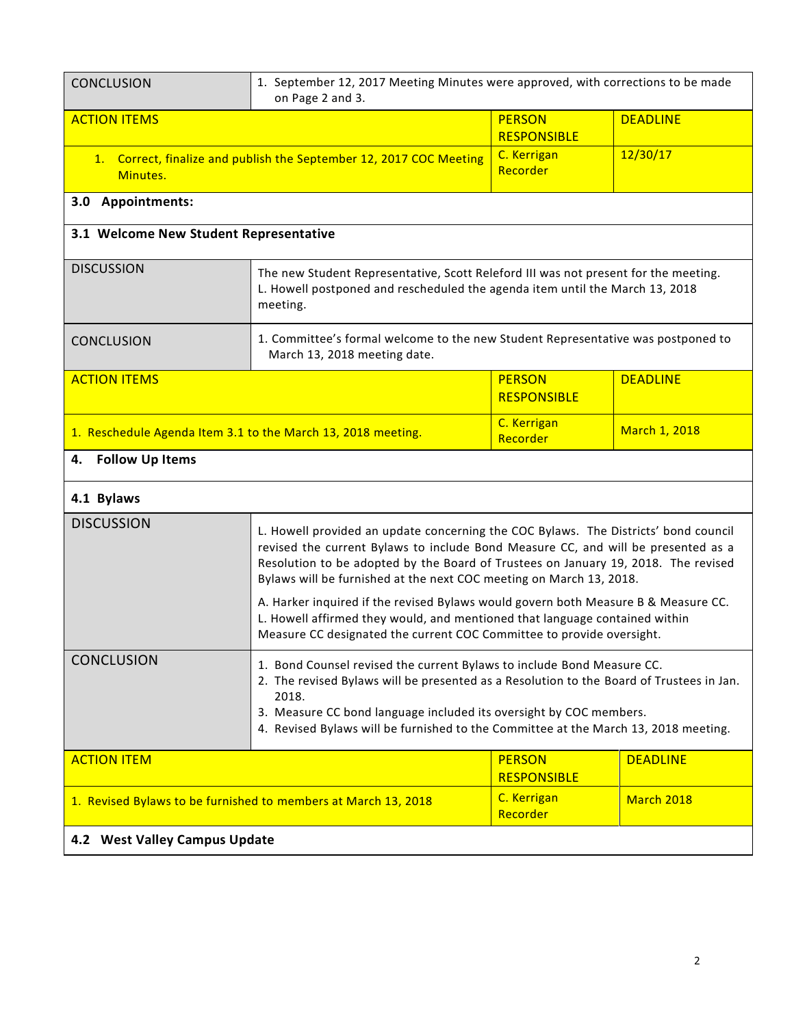| <b>CONCLUSION</b>                                                               | 1. September 12, 2017 Meeting Minutes were approved, with corrections to be made<br>on Page 2 and 3.                                                                                                                                                                                                                                                                                                                                                                                                                                                                                |                                     |                   |
|---------------------------------------------------------------------------------|-------------------------------------------------------------------------------------------------------------------------------------------------------------------------------------------------------------------------------------------------------------------------------------------------------------------------------------------------------------------------------------------------------------------------------------------------------------------------------------------------------------------------------------------------------------------------------------|-------------------------------------|-------------------|
| <b>ACTION ITEMS</b>                                                             |                                                                                                                                                                                                                                                                                                                                                                                                                                                                                                                                                                                     | <b>PERSON</b>                       | <b>DEADLINE</b>   |
|                                                                                 |                                                                                                                                                                                                                                                                                                                                                                                                                                                                                                                                                                                     | <b>RESPONSIBLE</b>                  | 12/30/17          |
| 1. Correct, finalize and publish the September 12, 2017 COC Meeting<br>Minutes. |                                                                                                                                                                                                                                                                                                                                                                                                                                                                                                                                                                                     | C. Kerrigan<br>Recorder             |                   |
| 3.0 Appointments:                                                               |                                                                                                                                                                                                                                                                                                                                                                                                                                                                                                                                                                                     |                                     |                   |
| 3.1 Welcome New Student Representative                                          |                                                                                                                                                                                                                                                                                                                                                                                                                                                                                                                                                                                     |                                     |                   |
| <b>DISCUSSION</b>                                                               | The new Student Representative, Scott Releford III was not present for the meeting.<br>L. Howell postponed and rescheduled the agenda item until the March 13, 2018<br>meeting.                                                                                                                                                                                                                                                                                                                                                                                                     |                                     |                   |
| <b>CONCLUSION</b>                                                               | 1. Committee's formal welcome to the new Student Representative was postponed to<br>March 13, 2018 meeting date.                                                                                                                                                                                                                                                                                                                                                                                                                                                                    |                                     |                   |
| <b>ACTION ITEMS</b>                                                             |                                                                                                                                                                                                                                                                                                                                                                                                                                                                                                                                                                                     | <b>PERSON</b>                       | <b>DEADLINE</b>   |
|                                                                                 |                                                                                                                                                                                                                                                                                                                                                                                                                                                                                                                                                                                     | <b>RESPONSIBLE</b>                  |                   |
| 1. Reschedule Agenda Item 3.1 to the March 13, 2018 meeting.                    |                                                                                                                                                                                                                                                                                                                                                                                                                                                                                                                                                                                     | C. Kerrigan<br>Recorder             | March 1, 2018     |
| <b>Follow Up Items</b><br>4.                                                    |                                                                                                                                                                                                                                                                                                                                                                                                                                                                                                                                                                                     |                                     |                   |
| 4.1 Bylaws                                                                      |                                                                                                                                                                                                                                                                                                                                                                                                                                                                                                                                                                                     |                                     |                   |
| <b>DISCUSSION</b>                                                               | L. Howell provided an update concerning the COC Bylaws. The Districts' bond council<br>revised the current Bylaws to include Bond Measure CC, and will be presented as a<br>Resolution to be adopted by the Board of Trustees on January 19, 2018. The revised<br>Bylaws will be furnished at the next COC meeting on March 13, 2018.<br>A. Harker inquired if the revised Bylaws would govern both Measure B & Measure CC.<br>L. Howell affirmed they would, and mentioned that language contained within<br>Measure CC designated the current COC Committee to provide oversight. |                                     |                   |
| <b>CONCLUSION</b>                                                               | 1. Bond Counsel revised the current Bylaws to include Bond Measure CC.<br>2. The revised Bylaws will be presented as a Resolution to the Board of Trustees in Jan.<br>2018.<br>3. Measure CC bond language included its oversight by COC members.<br>4. Revised Bylaws will be furnished to the Committee at the March 13, 2018 meeting.                                                                                                                                                                                                                                            |                                     |                   |
| <b>ACTION ITEM</b>                                                              |                                                                                                                                                                                                                                                                                                                                                                                                                                                                                                                                                                                     | <b>PERSON</b><br><b>RESPONSIBLE</b> | <b>DEADLINE</b>   |
| 1. Revised Bylaws to be furnished to members at March 13, 2018                  |                                                                                                                                                                                                                                                                                                                                                                                                                                                                                                                                                                                     | C. Kerrigan<br>Recorder             | <b>March 2018</b> |
| 4.2 West Valley Campus Update                                                   |                                                                                                                                                                                                                                                                                                                                                                                                                                                                                                                                                                                     |                                     |                   |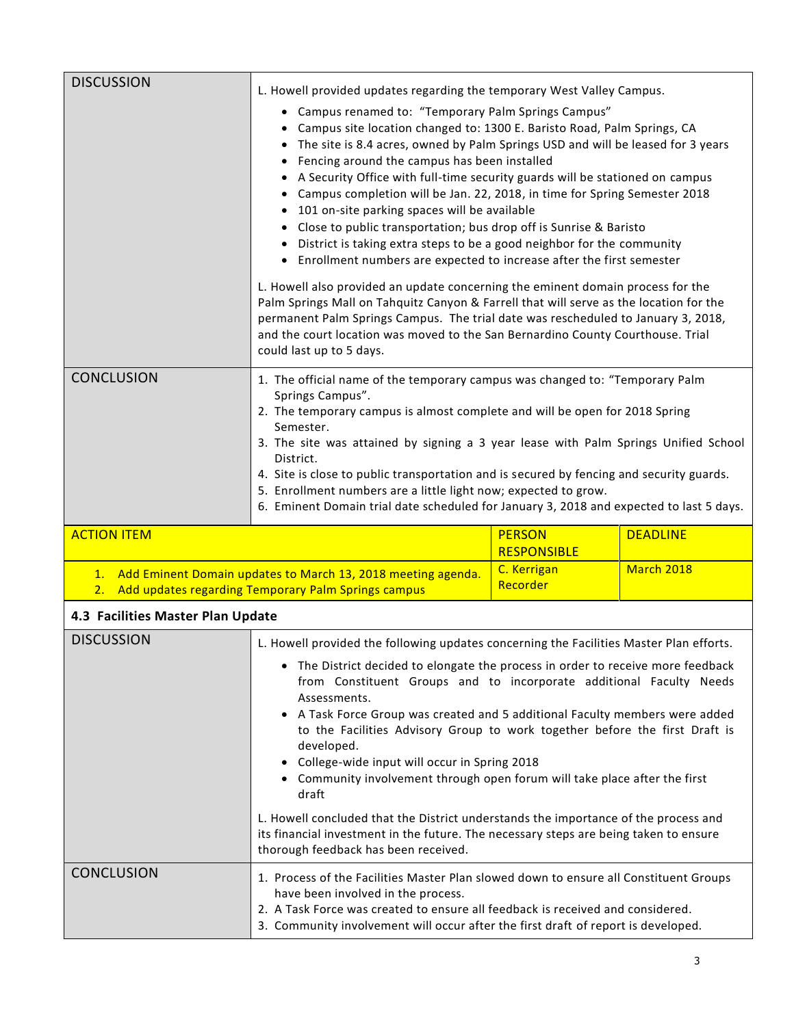| <b>DISCUSSION</b>                                                                                                               | L. Howell provided updates regarding the temporary West Valley Campus.<br>• Campus renamed to: "Temporary Palm Springs Campus"<br>• Campus site location changed to: 1300 E. Baristo Road, Palm Springs, CA<br>• The site is 8.4 acres, owned by Palm Springs USD and will be leased for 3 years<br>• Fencing around the campus has been installed<br>• A Security Office with full-time security guards will be stationed on campus<br>Campus completion will be Jan. 22, 2018, in time for Spring Semester 2018<br>101 on-site parking spaces will be available<br>• Close to public transportation; bus drop off is Sunrise & Baristo<br>District is taking extra steps to be a good neighbor for the community<br>• Enrollment numbers are expected to increase after the first semester<br>L. Howell also provided an update concerning the eminent domain process for the<br>Palm Springs Mall on Tahquitz Canyon & Farrell that will serve as the location for the<br>permanent Palm Springs Campus. The trial date was rescheduled to January 3, 2018,<br>and the court location was moved to the San Bernardino County Courthouse. Trial<br>could last up to 5 days. |                                     |                   |
|---------------------------------------------------------------------------------------------------------------------------------|-------------------------------------------------------------------------------------------------------------------------------------------------------------------------------------------------------------------------------------------------------------------------------------------------------------------------------------------------------------------------------------------------------------------------------------------------------------------------------------------------------------------------------------------------------------------------------------------------------------------------------------------------------------------------------------------------------------------------------------------------------------------------------------------------------------------------------------------------------------------------------------------------------------------------------------------------------------------------------------------------------------------------------------------------------------------------------------------------------------------------------------------------------------------------------|-------------------------------------|-------------------|
| <b>CONCLUSION</b>                                                                                                               | 1. The official name of the temporary campus was changed to: "Temporary Palm<br>Springs Campus".<br>2. The temporary campus is almost complete and will be open for 2018 Spring<br>Semester.<br>3. The site was attained by signing a 3 year lease with Palm Springs Unified School<br>District.<br>4. Site is close to public transportation and is secured by fencing and security guards.<br>5. Enrollment numbers are a little light now; expected to grow.<br>6. Eminent Domain trial date scheduled for January 3, 2018 and expected to last 5 days.                                                                                                                                                                                                                                                                                                                                                                                                                                                                                                                                                                                                                    |                                     |                   |
| <b>ACTION ITEM</b>                                                                                                              |                                                                                                                                                                                                                                                                                                                                                                                                                                                                                                                                                                                                                                                                                                                                                                                                                                                                                                                                                                                                                                                                                                                                                                               | <b>PERSON</b><br><b>RESPONSIBLE</b> | <b>DEADLINE</b>   |
| Add Eminent Domain updates to March 13, 2018 meeting agenda.<br>1.<br>Add updates regarding Temporary Palm Springs campus<br>2. |                                                                                                                                                                                                                                                                                                                                                                                                                                                                                                                                                                                                                                                                                                                                                                                                                                                                                                                                                                                                                                                                                                                                                                               | C. Kerrigan<br>Recorder             | <b>March 2018</b> |
| 4.3 Facilities Master Plan Update                                                                                               |                                                                                                                                                                                                                                                                                                                                                                                                                                                                                                                                                                                                                                                                                                                                                                                                                                                                                                                                                                                                                                                                                                                                                                               |                                     |                   |
| <b>DISCUSSION</b>                                                                                                               | L. Howell provided the following updates concerning the Facilities Master Plan efforts.                                                                                                                                                                                                                                                                                                                                                                                                                                                                                                                                                                                                                                                                                                                                                                                                                                                                                                                                                                                                                                                                                       |                                     |                   |
|                                                                                                                                 | • The District decided to elongate the process in order to receive more feedback<br>from Constituent Groups and to incorporate additional Faculty Needs<br>Assessments.<br>• A Task Force Group was created and 5 additional Faculty members were added<br>to the Facilities Advisory Group to work together before the first Draft is<br>developed.<br>• College-wide input will occur in Spring 2018<br>• Community involvement through open forum will take place after the first<br>draft<br>L. Howell concluded that the District understands the importance of the process and                                                                                                                                                                                                                                                                                                                                                                                                                                                                                                                                                                                          |                                     |                   |
|                                                                                                                                 | its financial investment in the future. The necessary steps are being taken to ensure<br>thorough feedback has been received.                                                                                                                                                                                                                                                                                                                                                                                                                                                                                                                                                                                                                                                                                                                                                                                                                                                                                                                                                                                                                                                 |                                     |                   |
| <b>CONCLUSION</b>                                                                                                               | 1. Process of the Facilities Master Plan slowed down to ensure all Constituent Groups<br>have been involved in the process.<br>2. A Task Force was created to ensure all feedback is received and considered.<br>3. Community involvement will occur after the first draft of report is developed.                                                                                                                                                                                                                                                                                                                                                                                                                                                                                                                                                                                                                                                                                                                                                                                                                                                                            |                                     |                   |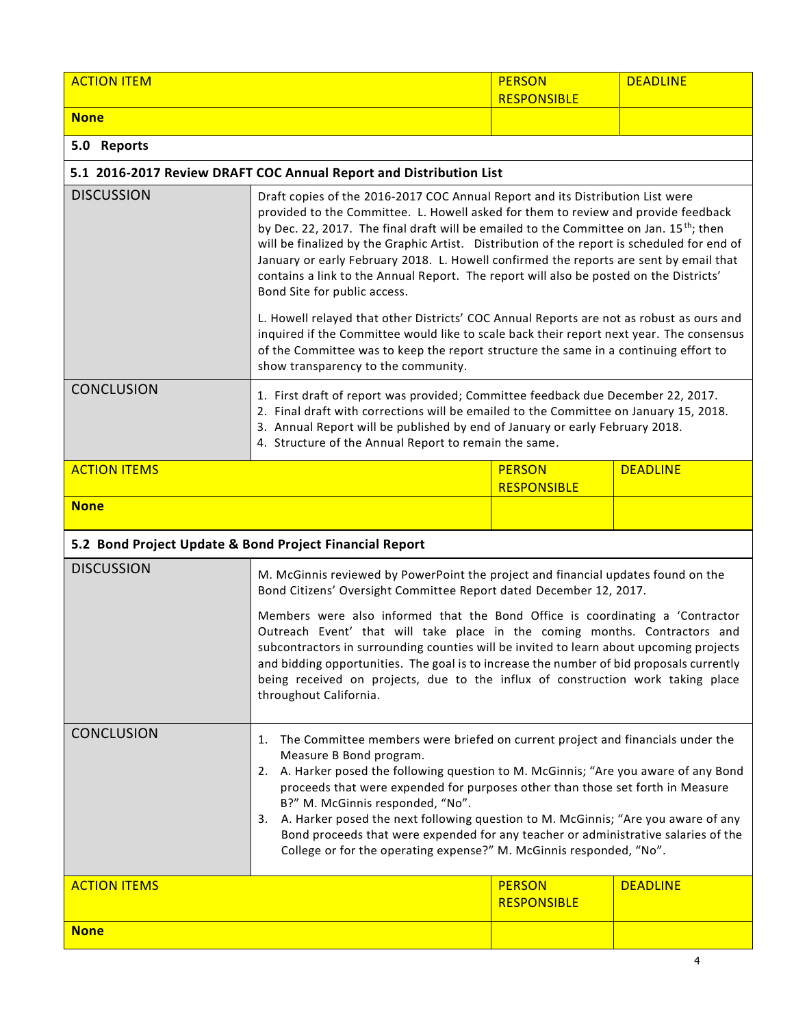| <b>ACTION ITEM</b>                                      |                                                                                                                                                                                                                                                                                                                                                                                                                                                                                                                                                                                                                                                                                           | <b>PERSON</b><br><b>RESPONSIBLE</b> | <b>DEADLINE</b> |
|---------------------------------------------------------|-------------------------------------------------------------------------------------------------------------------------------------------------------------------------------------------------------------------------------------------------------------------------------------------------------------------------------------------------------------------------------------------------------------------------------------------------------------------------------------------------------------------------------------------------------------------------------------------------------------------------------------------------------------------------------------------|-------------------------------------|-----------------|
| <b>None</b>                                             |                                                                                                                                                                                                                                                                                                                                                                                                                                                                                                                                                                                                                                                                                           |                                     |                 |
| 5.0 Reports                                             |                                                                                                                                                                                                                                                                                                                                                                                                                                                                                                                                                                                                                                                                                           |                                     |                 |
|                                                         | 5.1 2016-2017 Review DRAFT COC Annual Report and Distribution List                                                                                                                                                                                                                                                                                                                                                                                                                                                                                                                                                                                                                        |                                     |                 |
| <b>DISCUSSION</b>                                       | Draft copies of the 2016-2017 COC Annual Report and its Distribution List were<br>provided to the Committee. L. Howell asked for them to review and provide feedback<br>by Dec. 22, 2017. The final draft will be emailed to the Committee on Jan. 15 <sup>th</sup> ; then<br>will be finalized by the Graphic Artist. Distribution of the report is scheduled for end of<br>January or early February 2018. L. Howell confirmed the reports are sent by email that<br>contains a link to the Annual Report. The report will also be posted on the Districts'<br>Bond Site for public access.<br>L. Howell relayed that other Districts' COC Annual Reports are not as robust as ours and |                                     |                 |
|                                                         | inquired if the Committee would like to scale back their report next year. The consensus<br>of the Committee was to keep the report structure the same in a continuing effort to<br>show transparency to the community.                                                                                                                                                                                                                                                                                                                                                                                                                                                                   |                                     |                 |
| <b>CONCLUSION</b>                                       | 1. First draft of report was provided; Committee feedback due December 22, 2017.<br>2. Final draft with corrections will be emailed to the Committee on January 15, 2018.<br>3. Annual Report will be published by end of January or early February 2018.<br>4. Structure of the Annual Report to remain the same.                                                                                                                                                                                                                                                                                                                                                                        |                                     |                 |
| <b>ACTION ITEMS</b>                                     |                                                                                                                                                                                                                                                                                                                                                                                                                                                                                                                                                                                                                                                                                           | <b>PERSON</b><br><b>RESPONSIBLE</b> | <b>DEADLINE</b> |
| <b>None</b>                                             |                                                                                                                                                                                                                                                                                                                                                                                                                                                                                                                                                                                                                                                                                           |                                     |                 |
| 5.2 Bond Project Update & Bond Project Financial Report |                                                                                                                                                                                                                                                                                                                                                                                                                                                                                                                                                                                                                                                                                           |                                     |                 |
| <b>DISCUSSION</b>                                       | M. McGinnis reviewed by PowerPoint the project and financial updates found on the<br>Bond Citizens' Oversight Committee Report dated December 12, 2017.                                                                                                                                                                                                                                                                                                                                                                                                                                                                                                                                   |                                     |                 |
|                                                         | Members were also informed that the Bond Office is coordinating a 'Contractor<br>Outreach Event' that will take place in the coming months. Contractors and<br>subcontractors in surrounding counties will be invited to learn about upcoming projects<br>and bidding opportunities. The goal is to increase the number of bid proposals currently<br>being received on projects, due to the influx of construction work taking place<br>throughout California.                                                                                                                                                                                                                           |                                     |                 |
| <b>CONCLUSION</b>                                       | 1. The Committee members were briefed on current project and financials under the<br>Measure B Bond program.<br>2. A. Harker posed the following question to M. McGinnis; "Are you aware of any Bond<br>proceeds that were expended for purposes other than those set forth in Measure<br>B?" M. McGinnis responded, "No".<br>3. A. Harker posed the next following question to M. McGinnis; "Are you aware of any<br>Bond proceeds that were expended for any teacher or administrative salaries of the<br>College or for the operating expense?" M. McGinnis responded, "No".                                                                                                           |                                     |                 |
| <b>ACTION ITEMS</b>                                     |                                                                                                                                                                                                                                                                                                                                                                                                                                                                                                                                                                                                                                                                                           | <b>PERSON</b><br><b>RESPONSIBLE</b> | <b>DEADLINE</b> |
| <b>None</b>                                             |                                                                                                                                                                                                                                                                                                                                                                                                                                                                                                                                                                                                                                                                                           |                                     |                 |